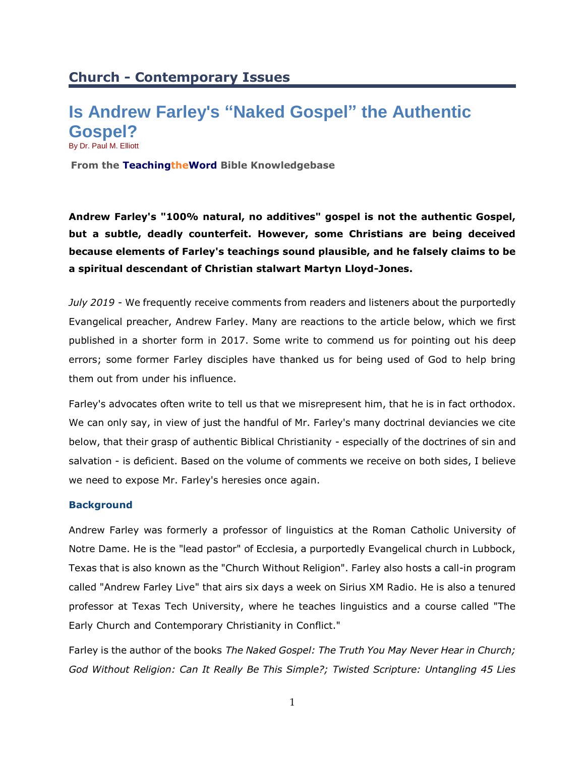# **Is Andrew Farley's "Naked Gospel" the Authentic Gospel?** By Dr. Paul M. Elliott

**From the TeachingtheWord Bible Knowledgebase**

**Andrew Farley's "100% natural, no additives" gospel is not the authentic Gospel, but a subtle, deadly counterfeit. However, some Christians are being deceived because elements of Farley's teachings sound plausible, and he falsely claims to be a spiritual descendant of Christian stalwart Martyn Lloyd-Jones.**

*July 2019* - We frequently receive comments from readers and listeners about the purportedly Evangelical preacher, Andrew Farley. Many are reactions to the article below, which we first published in a shorter form in 2017. Some write to commend us for pointing out his deep errors; some former Farley disciples have thanked us for being used of God to help bring them out from under his influence.

Farley's advocates often write to tell us that we misrepresent him, that he is in fact orthodox. We can only say, in view of just the handful of Mr. Farley's many doctrinal deviancies we cite below, that their grasp of authentic Biblical Christianity - especially of the doctrines of sin and salvation - is deficient. Based on the volume of comments we receive on both sides, I believe we need to expose Mr. Farley's heresies once again.

## **Background**

Andrew Farley was formerly a professor of linguistics at the Roman Catholic University of Notre Dame. He is the "lead pastor" of Ecclesia, a purportedly Evangelical church in Lubbock, Texas that is also known as the "Church Without Religion". Farley also hosts a call-in program called "Andrew Farley Live" that airs six days a week on Sirius XM Radio. He is also a tenured professor at Texas Tech University, where he teaches linguistics and a course called "The Early Church and Contemporary Christianity in Conflict."

Farley is the author of the books *The Naked Gospel: The Truth You May Never Hear in Church; God Without Religion: Can It Really Be This Simple?; Twisted Scripture: Untangling 45 Lies*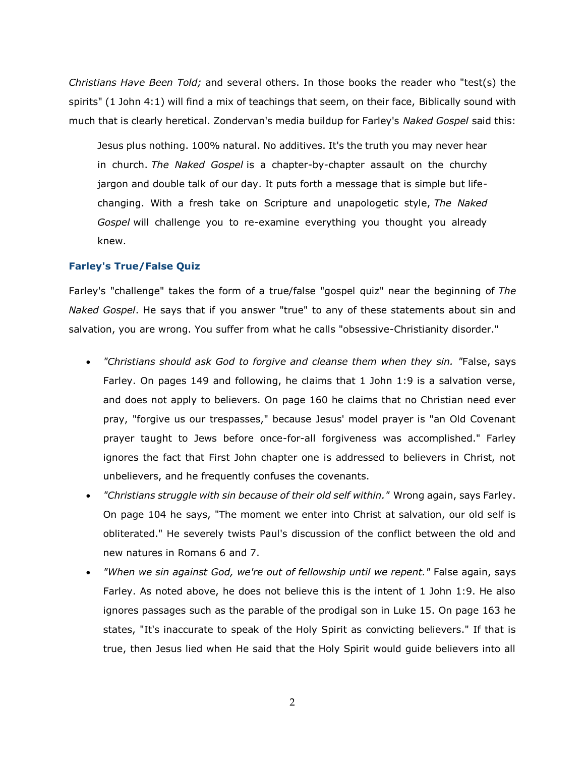*Christians Have Been Told;* and several others. In those books the reader who "test(s) the spirits" (1 John 4:1) will find a mix of teachings that seem, on their face, Biblically sound with much that is clearly heretical. Zondervan's media buildup for Farley's *Naked Gospel* said this:

Jesus plus nothing. 100% natural. No additives. It's the truth you may never hear in church. *The Naked Gospel* is a chapter-by-chapter assault on the churchy jargon and double talk of our day. It puts forth a message that is simple but lifechanging. With a fresh take on Scripture and unapologetic style, *The Naked Gospel* will challenge you to re-examine everything you thought you already knew.

#### **Farley's True/False Quiz**

Farley's "challenge" takes the form of a true/false "gospel quiz" near the beginning of *The Naked Gospel*. He says that if you answer "true" to any of these statements about sin and salvation, you are wrong. You suffer from what he calls "obsessive-Christianity disorder."

- *"Christians should ask God to forgive and cleanse them when they sin. "*False, says Farley. On pages 149 and following, he claims that 1 John 1:9 is a salvation verse, and does not apply to believers. On page 160 he claims that no Christian need ever pray, "forgive us our trespasses," because Jesus' model prayer is "an Old Covenant prayer taught to Jews before once-for-all forgiveness was accomplished." Farley ignores the fact that First John chapter one is addressed to believers in Christ, not unbelievers, and he frequently confuses the covenants.
- *"Christians struggle with sin because of their old self within."* Wrong again, says Farley. On page 104 he says, "The moment we enter into Christ at salvation, our old self is obliterated." He severely twists Paul's discussion of the conflict between the old and new natures in Romans 6 and 7.
- *"When we sin against God, we're out of fellowship until we repent."* False again, says Farley. As noted above, he does not believe this is the intent of 1 John 1:9. He also ignores passages such as the parable of the prodigal son in Luke 15. On page 163 he states, "It's inaccurate to speak of the Holy Spirit as convicting believers." If that is true, then Jesus lied when He said that the Holy Spirit would guide believers into all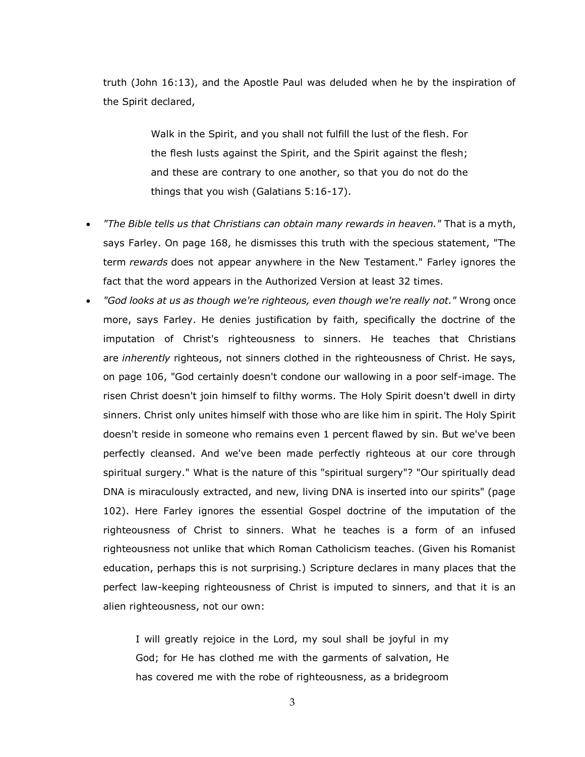truth (John 16:13), and the Apostle Paul was deluded when he by the inspiration of the Spirit declared,

> Walk in the Spirit, and you shall not fulfill the lust of the flesh. For the flesh lusts against the Spirit, and the Spirit against the flesh; and these are contrary to one another, so that you do not do the things that you wish (Galatians 5:16-17).

- *"The Bible tells us that Christians can obtain many rewards in heaven."* That is a myth, says Farley. On page 168, he dismisses this truth with the specious statement, "The term *rewards* does not appear anywhere in the New Testament." Farley ignores the fact that the word appears in the Authorized Version at least 32 times.
- *"God looks at us as though we're righteous, even though we're really not."* Wrong once more, says Farley. He denies justification by faith, specifically the doctrine of the imputation of Christ's righteousness to sinners. He teaches that Christians are *inherently* righteous, not sinners clothed in the righteousness of Christ. He says, on page 106, "God certainly doesn't condone our wallowing in a poor self-image. The risen Christ doesn't join himself to filthy worms. The Holy Spirit doesn't dwell in dirty sinners. Christ only unites himself with those who are like him in spirit. The Holy Spirit doesn't reside in someone who remains even 1 percent flawed by sin. But we've been perfectly cleansed. And we've been made perfectly righteous at our core through spiritual surgery." What is the nature of this "spiritual surgery"? "Our spiritually dead DNA is miraculously extracted, and new, living DNA is inserted into our spirits" (page 102). Here Farley ignores the essential Gospel doctrine of the imputation of the righteousness of Christ to sinners. What he teaches is a form of an infused righteousness not unlike that which Roman Catholicism teaches. (Given his Romanist education, perhaps this is not surprising.) Scripture declares in many places that the perfect law-keeping righteousness of Christ is imputed to sinners, and that it is an alien righteousness, not our own:

I will greatly rejoice in the Lord, my soul shall be joyful in my God; for He has clothed me with the garments of salvation, He has covered me with the robe of righteousness, as a bridegroom

3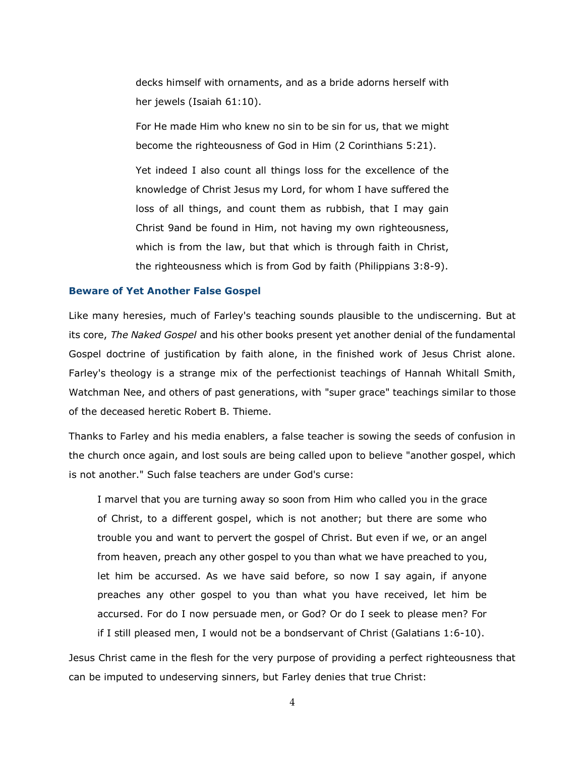decks himself with ornaments, and as a bride adorns herself with her jewels (Isaiah 61:10).

For He made Him who knew no sin to be sin for us, that we might become the righteousness of God in Him (2 Corinthians 5:21).

Yet indeed I also count all things loss for the excellence of the knowledge of Christ Jesus my Lord, for whom I have suffered the loss of all things, and count them as rubbish, that I may gain Christ 9and be found in Him, not having my own righteousness, which is from the law, but that which is through faith in Christ, the righteousness which is from God by faith (Philippians 3:8-9).

#### **Beware of Yet Another False Gospel**

Like many heresies, much of Farley's teaching sounds plausible to the undiscerning. But at its core, *The Naked Gospel* and his other books present yet another denial of the fundamental Gospel doctrine of justification by faith alone, in the finished work of Jesus Christ alone. Farley's theology is a strange mix of the perfectionist teachings of Hannah Whitall Smith, Watchman Nee, and others of past generations, with "super grace" teachings similar to those of the deceased heretic Robert B. Thieme.

Thanks to Farley and his media enablers, a false teacher is sowing the seeds of confusion in the church once again, and lost souls are being called upon to believe "another gospel, which is not another." Such false teachers are under God's curse:

I marvel that you are turning away so soon from Him who called you in the grace of Christ, to a different gospel, which is not another; but there are some who trouble you and want to pervert the gospel of Christ. But even if we, or an angel from heaven, preach any other gospel to you than what we have preached to you, let him be accursed. As we have said before, so now I say again, if anyone preaches any other gospel to you than what you have received, let him be accursed. For do I now persuade men, or God? Or do I seek to please men? For if I still pleased men, I would not be a bondservant of Christ (Galatians 1:6-10).

Jesus Christ came in the flesh for the very purpose of providing a perfect righteousness that can be imputed to undeserving sinners, but Farley denies that true Christ:

4